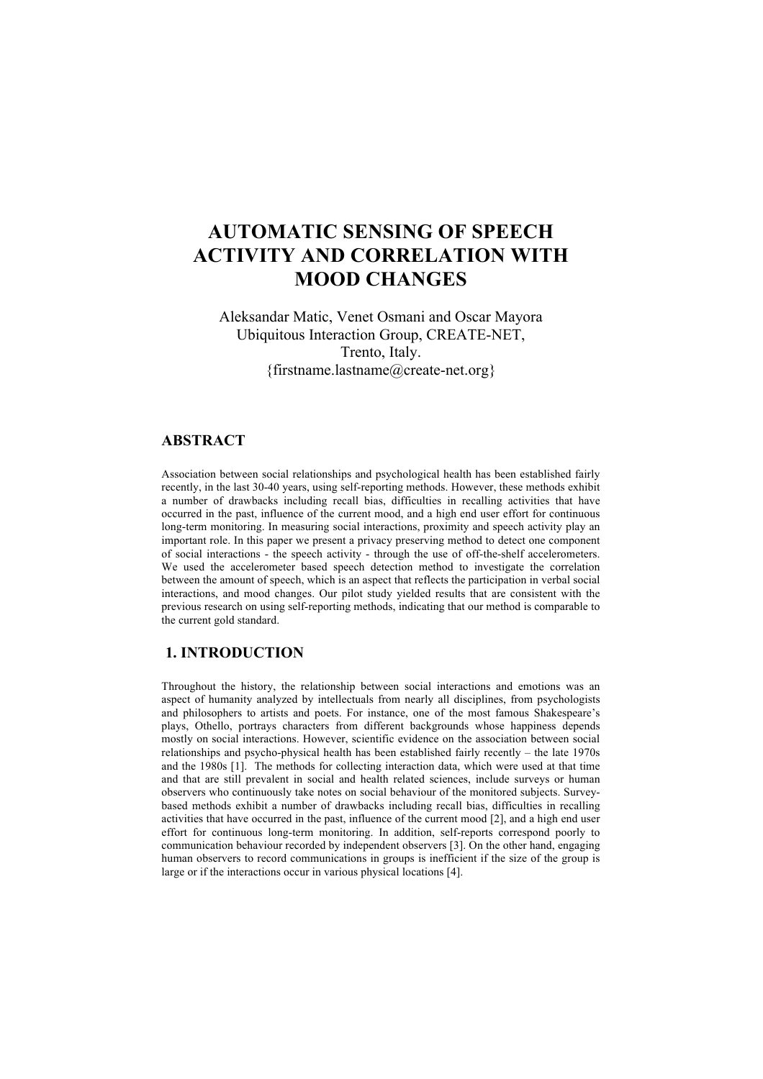# **AUTOMATIC SENSING OF SPEECH ACTIVITY AND CORRELATION WITH MOOD CHANGES**

Aleksandar Matic, Venet Osmani and Oscar Mayora Ubiquitous Interaction Group, CREATE-NET, Trento, Italy. {firstname.lastname@create-net.org}

## **ABSTRACT**

Association between social relationships and psychological health has been established fairly recently, in the last 30-40 years, using self-reporting methods. However, these methods exhibit a number of drawbacks including recall bias, difficulties in recalling activities that have occurred in the past, influence of the current mood, and a high end user effort for continuous long-term monitoring. In measuring social interactions, proximity and speech activity play an important role. In this paper we present a privacy preserving method to detect one component of social interactions - the speech activity - through the use of off-the-shelf accelerometers. We used the accelerometer based speech detection method to investigate the correlation between the amount of speech, which is an aspect that reflects the participation in verbal social interactions, and mood changes. Our pilot study yielded results that are consistent with the previous research on using self-reporting methods, indicating that our method is comparable to the current gold standard.

# **1. INTRODUCTION**

Throughout the history, the relationship between social interactions and emotions was an aspect of humanity analyzed by intellectuals from nearly all disciplines, from psychologists and philosophers to artists and poets. For instance, one of the most famous Shakespeare's plays, Othello, portrays characters from different backgrounds whose happiness depends mostly on social interactions. However, scientific evidence on the association between social relationships and psycho-physical health has been established fairly recently – the late 1970s and the 1980s [1]. The methods for collecting interaction data, which were used at that time and that are still prevalent in social and health related sciences, include surveys or human observers who continuously take notes on social behaviour of the monitored subjects. Surveybased methods exhibit a number of drawbacks including recall bias, difficulties in recalling activities that have occurred in the past, influence of the current mood [2], and a high end user effort for continuous long-term monitoring. In addition, self-reports correspond poorly to communication behaviour recorded by independent observers [3]. On the other hand, engaging human observers to record communications in groups is inefficient if the size of the group is large or if the interactions occur in various physical locations [4].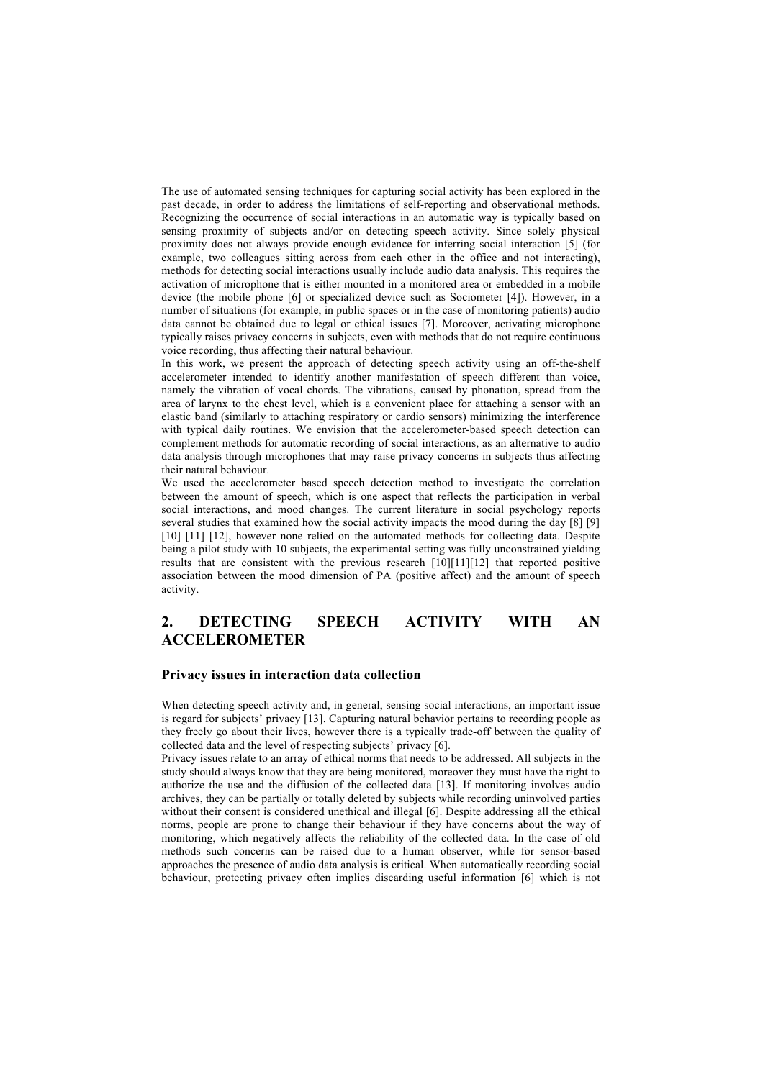The use of automated sensing techniques for capturing social activity has been explored in the past decade, in order to address the limitations of self-reporting and observational methods. Recognizing the occurrence of social interactions in an automatic way is typically based on sensing proximity of subjects and/or on detecting speech activity. Since solely physical proximity does not always provide enough evidence for inferring social interaction [5] (for example, two colleagues sitting across from each other in the office and not interacting), methods for detecting social interactions usually include audio data analysis. This requires the activation of microphone that is either mounted in a monitored area or embedded in a mobile device (the mobile phone [6] or specialized device such as Sociometer [4]). However, in a number of situations (for example, in public spaces or in the case of monitoring patients) audio data cannot be obtained due to legal or ethical issues [7]. Moreover, activating microphone typically raises privacy concerns in subjects, even with methods that do not require continuous voice recording, thus affecting their natural behaviour.

In this work, we present the approach of detecting speech activity using an off-the-shelf accelerometer intended to identify another manifestation of speech different than voice, namely the vibration of vocal chords. The vibrations, caused by phonation, spread from the area of larynx to the chest level, which is a convenient place for attaching a sensor with an elastic band (similarly to attaching respiratory or cardio sensors) minimizing the interference with typical daily routines. We envision that the accelerometer-based speech detection can complement methods for automatic recording of social interactions, as an alternative to audio data analysis through microphones that may raise privacy concerns in subjects thus affecting their natural behaviour.

We used the accelerometer based speech detection method to investigate the correlation between the amount of speech, which is one aspect that reflects the participation in verbal social interactions, and mood changes. The current literature in social psychology reports several studies that examined how the social activity impacts the mood during the day [8] [9] [10] [11] [12], however none relied on the automated methods for collecting data. Despite being a pilot study with 10 subjects, the experimental setting was fully unconstrained yielding results that are consistent with the previous research [10][11][12] that reported positive association between the mood dimension of PA (positive affect) and the amount of speech activity.

## **2. DETECTING SPEECH ACTIVITY WITH AN ACCELEROMETER**

#### **Privacy issues in interaction data collection**

When detecting speech activity and, in general, sensing social interactions, an important issue is regard for subjects' privacy [13]. Capturing natural behavior pertains to recording people as they freely go about their lives, however there is a typically trade-off between the quality of collected data and the level of respecting subjects' privacy [6].

Privacy issues relate to an array of ethical norms that needs to be addressed. All subjects in the study should always know that they are being monitored, moreover they must have the right to authorize the use and the diffusion of the collected data [13]. If monitoring involves audio archives, they can be partially or totally deleted by subjects while recording uninvolved parties without their consent is considered unethical and illegal [6]. Despite addressing all the ethical norms, people are prone to change their behaviour if they have concerns about the way of monitoring, which negatively affects the reliability of the collected data. In the case of old methods such concerns can be raised due to a human observer, while for sensor-based approaches the presence of audio data analysis is critical. When automatically recording social behaviour, protecting privacy often implies discarding useful information [6] which is not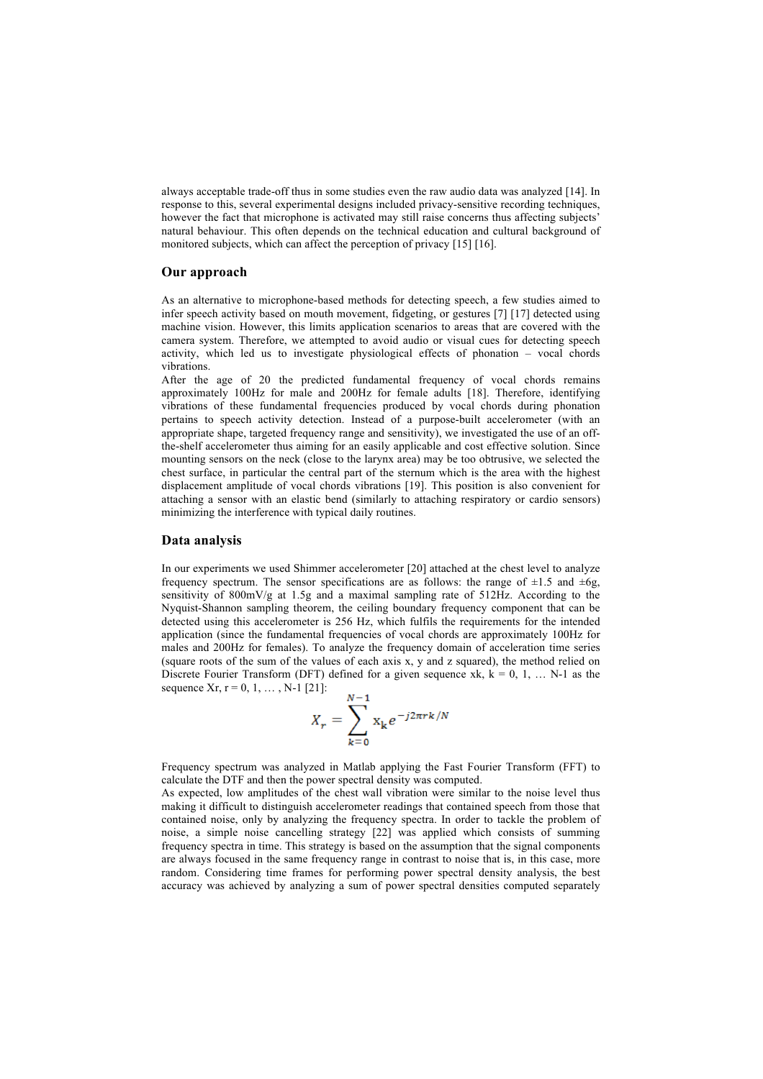always acceptable trade-off thus in some studies even the raw audio data was analyzed [14]. In response to this, several experimental designs included privacy-sensitive recording techniques, however the fact that microphone is activated may still raise concerns thus affecting subjects' natural behaviour. This often depends on the technical education and cultural background of monitored subjects, which can affect the perception of privacy [15] [16].

## **Our approach**

As an alternative to microphone-based methods for detecting speech, a few studies aimed to infer speech activity based on mouth movement, fidgeting, or gestures [7] [17] detected using machine vision. However, this limits application scenarios to areas that are covered with the camera system. Therefore, we attempted to avoid audio or visual cues for detecting speech activity, which led us to investigate physiological effects of phonation – vocal chords vibrations.

After the age of 20 the predicted fundamental frequency of vocal chords remains approximately 100Hz for male and 200Hz for female adults [18]. Therefore, identifying vibrations of these fundamental frequencies produced by vocal chords during phonation pertains to speech activity detection. Instead of a purpose-built accelerometer (with an appropriate shape, targeted frequency range and sensitivity), we investigated the use of an offthe-shelf accelerometer thus aiming for an easily applicable and cost effective solution. Since mounting sensors on the neck (close to the larynx area) may be too obtrusive, we selected the chest surface, in particular the central part of the sternum which is the area with the highest displacement amplitude of vocal chords vibrations [19]. This position is also convenient for attaching a sensor with an elastic bend (similarly to attaching respiratory or cardio sensors) minimizing the interference with typical daily routines.

#### **Data analysis**

In our experiments we used Shimmer accelerometer [20] attached at the chest level to analyze frequency spectrum. The sensor specifications are as follows: the range of  $\pm 1.5$  and  $\pm 6g$ , sensitivity of 800mV/g at 1.5g and a maximal sampling rate of 512Hz. According to the Nyquist-Shannon sampling theorem, the ceiling boundary frequency component that can be detected using this accelerometer is 256 Hz, which fulfils the requirements for the intended application (since the fundamental frequencies of vocal chords are approximately 100Hz for males and 200Hz for females). To analyze the frequency domain of acceleration time series (square roots of the sum of the values of each axis x, y and z squared), the method relied on Discrete Fourier Transform (DFT) defined for a given sequence xk,  $k = 0, 1, ... N-1$  as the sequence Xr,  $r = 0, 1, ..., N-1$  [21]:

$$
X_r = \sum_{k=0}^{N-1} x_k e^{-j2\pi rk/N}
$$

Frequency spectrum was analyzed in Matlab applying the Fast Fourier Transform (FFT) to calculate the DTF and then the power spectral density was computed.

As expected, low amplitudes of the chest wall vibration were similar to the noise level thus making it difficult to distinguish accelerometer readings that contained speech from those that contained noise, only by analyzing the frequency spectra. In order to tackle the problem of noise, a simple noise cancelling strategy [22] was applied which consists of summing frequency spectra in time. This strategy is based on the assumption that the signal components are always focused in the same frequency range in contrast to noise that is, in this case, more random. Considering time frames for performing power spectral density analysis, the best accuracy was achieved by analyzing a sum of power spectral densities computed separately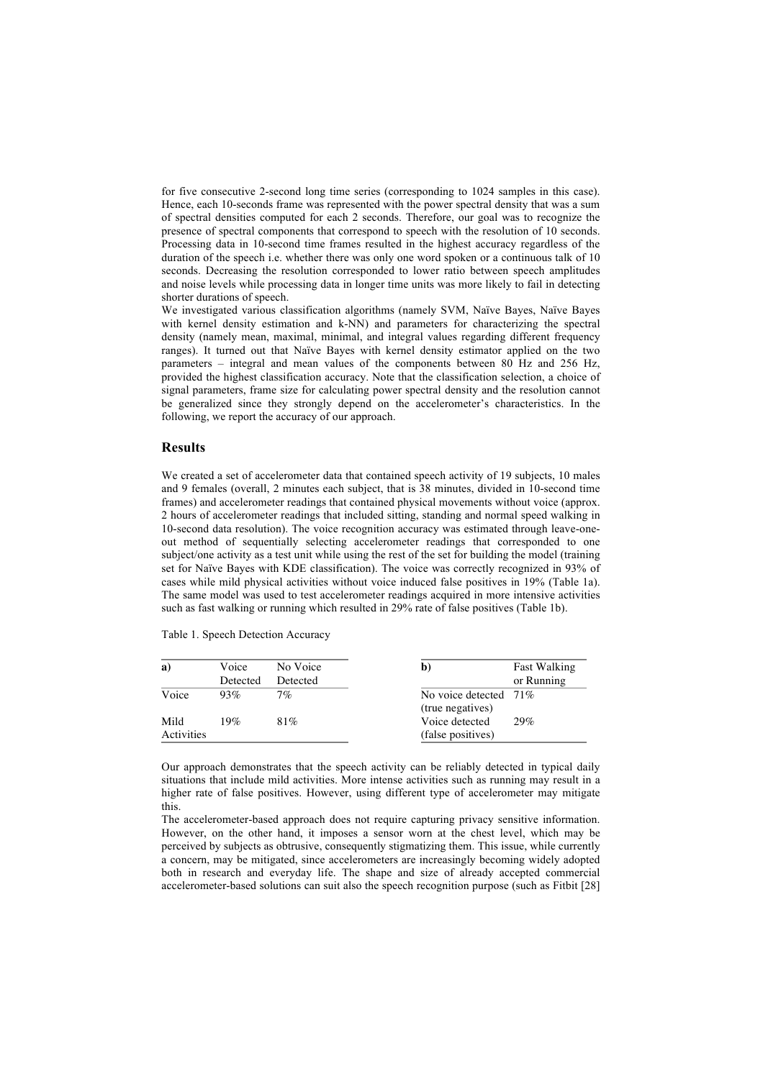for five consecutive 2-second long time series (corresponding to 1024 samples in this case). Hence, each 10-seconds frame was represented with the power spectral density that was a sum of spectral densities computed for each 2 seconds. Therefore, our goal was to recognize the presence of spectral components that correspond to speech with the resolution of 10 seconds. Processing data in 10-second time frames resulted in the highest accuracy regardless of the duration of the speech i.e. whether there was only one word spoken or a continuous talk of 10 seconds. Decreasing the resolution corresponded to lower ratio between speech amplitudes and noise levels while processing data in longer time units was more likely to fail in detecting shorter durations of speech.

We investigated various classification algorithms (namely SVM, Naïve Bayes, Naïve Bayes with kernel density estimation and k-NN) and parameters for characterizing the spectral density (namely mean, maximal, minimal, and integral values regarding different frequency ranges). It turned out that Naïve Bayes with kernel density estimator applied on the two parameters – integral and mean values of the components between 80 Hz and 256 Hz, provided the highest classification accuracy. Note that the classification selection, a choice of signal parameters, frame size for calculating power spectral density and the resolution cannot be generalized since they strongly depend on the accelerometer's characteristics. In the following, we report the accuracy of our approach.

#### **Results**

We created a set of accelerometer data that contained speech activity of 19 subjects, 10 males and 9 females (overall, 2 minutes each subject, that is 38 minutes, divided in 10-second time frames) and accelerometer readings that contained physical movements without voice (approx. 2 hours of accelerometer readings that included sitting, standing and normal speed walking in 10-second data resolution). The voice recognition accuracy was estimated through leave-oneout method of sequentially selecting accelerometer readings that corresponded to one subject/one activity as a test unit while using the rest of the set for building the model (training set for Naïve Bayes with KDE classification). The voice was correctly recognized in 93% of cases while mild physical activities without voice induced false positives in 19% (Table 1a). The same model was used to test accelerometer readings acquired in more intensive activities such as fast walking or running which resulted in 29% rate of false positives (Table 1b).

| a)                 | Voice<br>Detected | No Voice<br>Detected | b)                                           | <b>Fast Walking</b><br>or Running |
|--------------------|-------------------|----------------------|----------------------------------------------|-----------------------------------|
| Voice              | 93%               | 7%                   | No voice detected $71\%$<br>(true negatives) |                                   |
| Mild<br>Activities | 19%               | 81%                  | Voice detected<br>(false positives)          | 29%                               |

Table 1. Speech Detection Accuracy

Our approach demonstrates that the speech activity can be reliably detected in typical daily situations that include mild activities. More intense activities such as running may result in a higher rate of false positives. However, using different type of accelerometer may mitigate this.

The accelerometer-based approach does not require capturing privacy sensitive information. However, on the other hand, it imposes a sensor worn at the chest level, which may be perceived by subjects as obtrusive, consequently stigmatizing them. This issue, while currently a concern, may be mitigated, since accelerometers are increasingly becoming widely adopted both in research and everyday life. The shape and size of already accepted commercial accelerometer-based solutions can suit also the speech recognition purpose (such as Fitbit [28]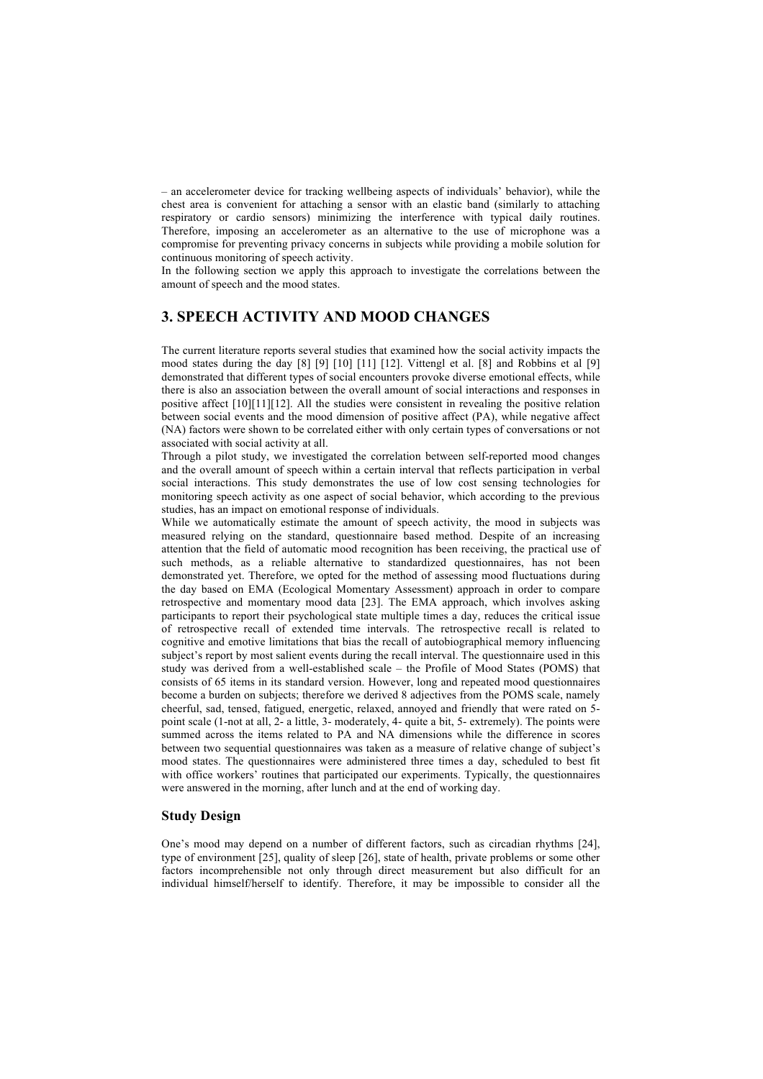– an accelerometer device for tracking wellbeing aspects of individuals' behavior), while the chest area is convenient for attaching a sensor with an elastic band (similarly to attaching respiratory or cardio sensors) minimizing the interference with typical daily routines. Therefore, imposing an accelerometer as an alternative to the use of microphone was a compromise for preventing privacy concerns in subjects while providing a mobile solution for continuous monitoring of speech activity.

In the following section we apply this approach to investigate the correlations between the amount of speech and the mood states.

## **3. SPEECH ACTIVITY AND MOOD CHANGES**

The current literature reports several studies that examined how the social activity impacts the mood states during the day [8] [9] [10] [11] [12]. Vittengl et al. [8] and Robbins et al [9] demonstrated that different types of social encounters provoke diverse emotional effects, while there is also an association between the overall amount of social interactions and responses in positive affect [10][11][12]. All the studies were consistent in revealing the positive relation between social events and the mood dimension of positive affect (PA), while negative affect (NA) factors were shown to be correlated either with only certain types of conversations or not associated with social activity at all.

Through a pilot study, we investigated the correlation between self-reported mood changes and the overall amount of speech within a certain interval that reflects participation in verbal social interactions. This study demonstrates the use of low cost sensing technologies for monitoring speech activity as one aspect of social behavior, which according to the previous studies, has an impact on emotional response of individuals.

While we automatically estimate the amount of speech activity, the mood in subjects was measured relying on the standard, questionnaire based method. Despite of an increasing attention that the field of automatic mood recognition has been receiving, the practical use of such methods, as a reliable alternative to standardized questionnaires, has not been demonstrated yet. Therefore, we opted for the method of assessing mood fluctuations during the day based on EMA (Ecological Momentary Assessment) approach in order to compare retrospective and momentary mood data [23]. The EMA approach, which involves asking participants to report their psychological state multiple times a day, reduces the critical issue of retrospective recall of extended time intervals. The retrospective recall is related to cognitive and emotive limitations that bias the recall of autobiographical memory influencing subject's report by most salient events during the recall interval. The questionnaire used in this study was derived from a well-established scale – the Profile of Mood States (POMS) that consists of 65 items in its standard version. However, long and repeated mood questionnaires become a burden on subjects; therefore we derived 8 adjectives from the POMS scale, namely cheerful, sad, tensed, fatigued, energetic, relaxed, annoyed and friendly that were rated on 5 point scale (1-not at all, 2- a little, 3- moderately, 4- quite a bit, 5- extremely). The points were summed across the items related to PA and NA dimensions while the difference in scores between two sequential questionnaires was taken as a measure of relative change of subject's mood states. The questionnaires were administered three times a day, scheduled to best fit with office workers' routines that participated our experiments. Typically, the questionnaires were answered in the morning, after lunch and at the end of working day.

#### **Study Design**

One's mood may depend on a number of different factors, such as circadian rhythms [24], type of environment [25], quality of sleep [26], state of health, private problems or some other factors incomprehensible not only through direct measurement but also difficult for an individual himself/herself to identify. Therefore, it may be impossible to consider all the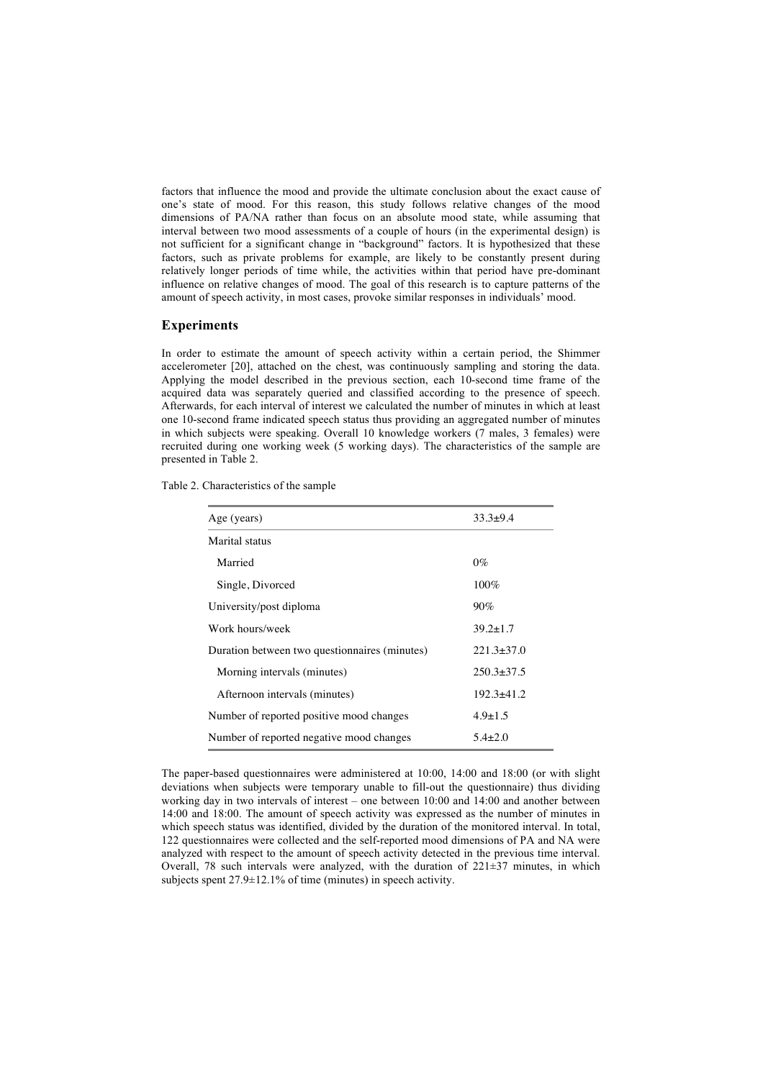factors that influence the mood and provide the ultimate conclusion about the exact cause of one's state of mood. For this reason, this study follows relative changes of the mood dimensions of PA/NA rather than focus on an absolute mood state, while assuming that interval between two mood assessments of a couple of hours (in the experimental design) is not sufficient for a significant change in "background" factors. It is hypothesized that these factors, such as private problems for example, are likely to be constantly present during relatively longer periods of time while, the activities within that period have pre-dominant influence on relative changes of mood. The goal of this research is to capture patterns of the amount of speech activity, in most cases, provoke similar responses in individuals' mood.

#### **Experiments**

In order to estimate the amount of speech activity within a certain period, the Shimmer accelerometer [20], attached on the chest, was continuously sampling and storing the data. Applying the model described in the previous section, each 10-second time frame of the acquired data was separately queried and classified according to the presence of speech. Afterwards, for each interval of interest we calculated the number of minutes in which at least one 10-second frame indicated speech status thus providing an aggregated number of minutes in which subjects were speaking. Overall 10 knowledge workers (7 males, 3 females) were recruited during one working week (5 working days). The characteristics of the sample are presented in Table 2.

| Age (years)                                   | $33.3+9.4$     |
|-----------------------------------------------|----------------|
| Marital status                                |                |
| Married                                       | $0\%$          |
| Single, Divorced                              | $100\%$        |
| University/post diploma                       | 90%            |
| Work hours/week                               | $39.2 + 1.7$   |
| Duration between two questionnaires (minutes) | $221.3+37.0$   |
| Morning intervals (minutes)                   | $250.3 + 37.5$ |
| Afternoon intervals (minutes)                 | $192.3 + 41.2$ |
| Number of reported positive mood changes      | $4.9 \pm 1.5$  |
| Number of reported negative mood changes      | $5.4 + 2.0$    |

Table 2. Characteristics of the sample

The paper-based questionnaires were administered at 10:00, 14:00 and 18:00 (or with slight deviations when subjects were temporary unable to fill-out the questionnaire) thus dividing working day in two intervals of interest – one between 10:00 and 14:00 and another between 14:00 and 18:00. The amount of speech activity was expressed as the number of minutes in which speech status was identified, divided by the duration of the monitored interval. In total, 122 questionnaires were collected and the self-reported mood dimensions of PA and NA were analyzed with respect to the amount of speech activity detected in the previous time interval. Overall, 78 such intervals were analyzed, with the duration of  $221\pm37$  minutes, in which subjects spent 27.9±12.1% of time (minutes) in speech activity.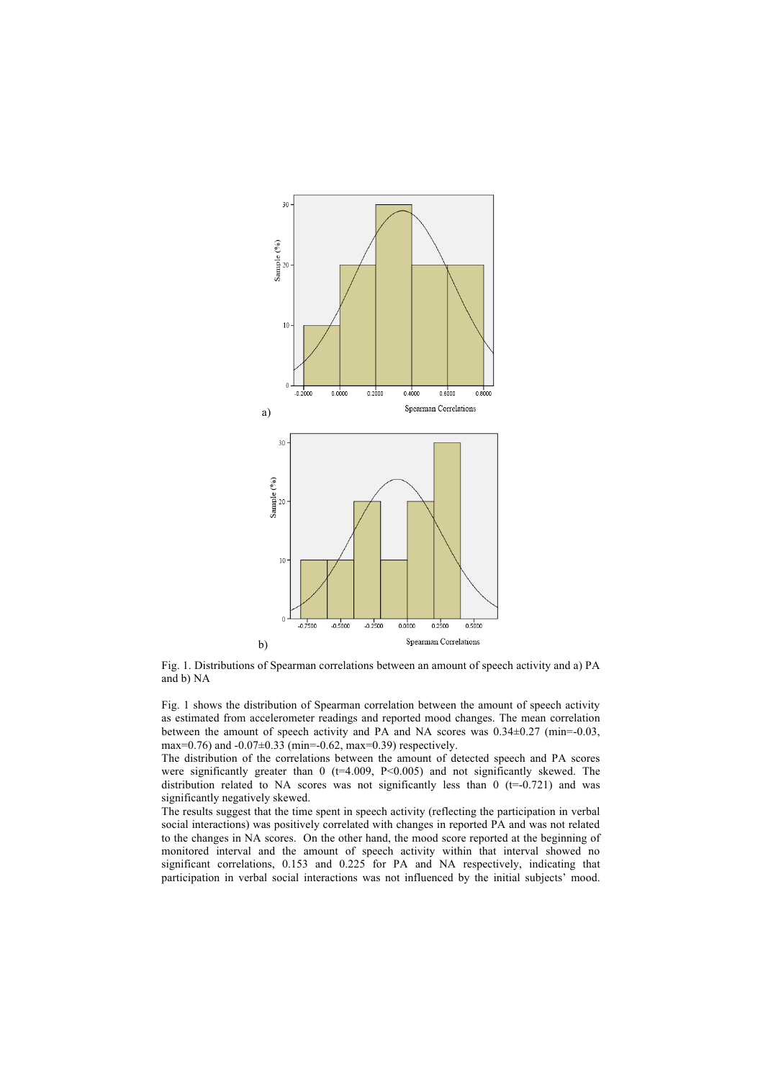

Fig. 1. Distributions of Spearman correlations between an amount of speech activity and a) PA and b) NA

Fig. 1 shows the distribution of Spearman correlation between the amount of speech activity as estimated from accelerometer readings and reported mood changes. The mean correlation between the amount of speech activity and PA and NA scores was 0.34±0.27 (min=-0.03, max=0.76) and  $-0.07\pm0.33$  (min= $-0.62$ , max=0.39) respectively.

The distribution of the correlations between the amount of detected speech and PA scores were significantly greater than 0 (t=4.009, P<0.005) and not significantly skewed. The distribution related to NA scores was not significantly less than  $0$  ( $t=0.721$ ) and was significantly negatively skewed.

The results suggest that the time spent in speech activity (reflecting the participation in verbal social interactions) was positively correlated with changes in reported PA and was not related to the changes in NA scores. On the other hand, the mood score reported at the beginning of monitored interval and the amount of speech activity within that interval showed no significant correlations, 0.153 and 0.225 for PA and NA respectively, indicating that participation in verbal social interactions was not influenced by the initial subjects' mood.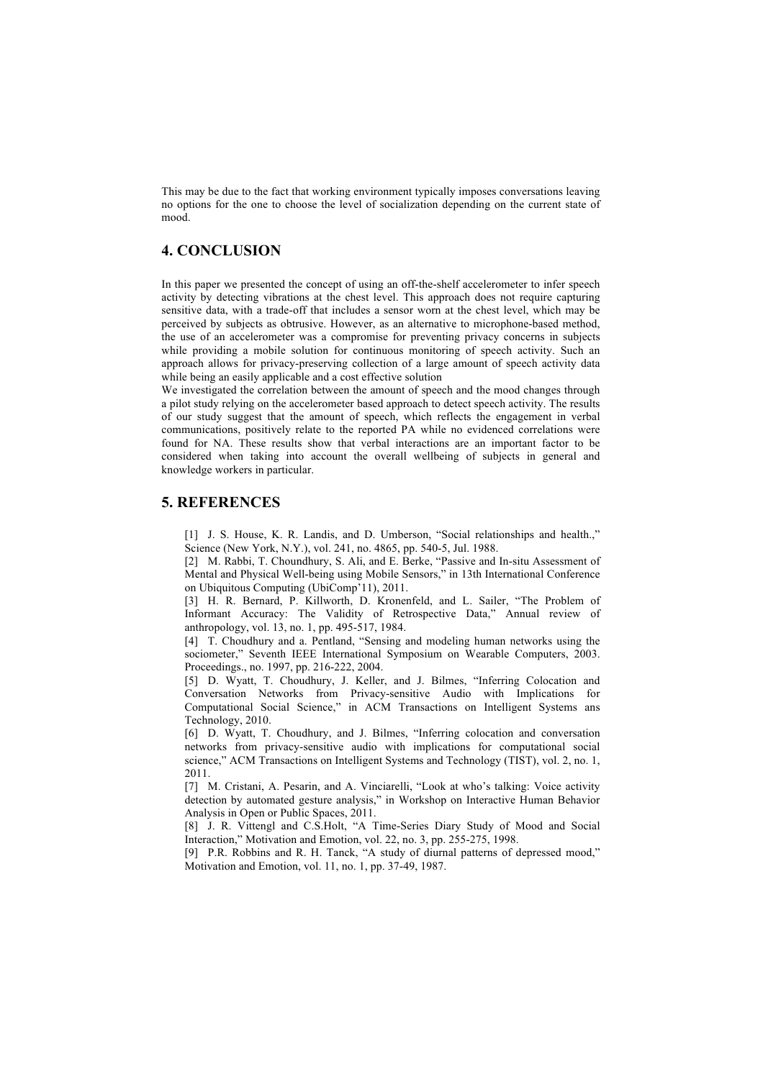This may be due to the fact that working environment typically imposes conversations leaving no options for the one to choose the level of socialization depending on the current state of mood.

## **4. CONCLUSION**

In this paper we presented the concept of using an off-the-shelf accelerometer to infer speech activity by detecting vibrations at the chest level. This approach does not require capturing sensitive data, with a trade-off that includes a sensor worn at the chest level, which may be perceived by subjects as obtrusive. However, as an alternative to microphone-based method, the use of an accelerometer was a compromise for preventing privacy concerns in subjects while providing a mobile solution for continuous monitoring of speech activity. Such an approach allows for privacy-preserving collection of a large amount of speech activity data while being an easily applicable and a cost effective solution

We investigated the correlation between the amount of speech and the mood changes through a pilot study relying on the accelerometer based approach to detect speech activity. The results of our study suggest that the amount of speech, which reflects the engagement in verbal communications, positively relate to the reported PA while no evidenced correlations were found for NA. These results show that verbal interactions are an important factor to be considered when taking into account the overall wellbeing of subjects in general and knowledge workers in particular.

## **5. REFERENCES**

[1] J. S. House, K. R. Landis, and D. Umberson, "Social relationships and health.," Science (New York, N.Y.), vol. 241, no. 4865, pp. 540-5, Jul. 1988.

[2] M. Rabbi, T. Choundhury, S. Ali, and E. Berke, "Passive and In-situ Assessment of Mental and Physical Well-being using Mobile Sensors," in 13th International Conference on Ubiquitous Computing (UbiComp'11), 2011.

[3] H. R. Bernard, P. Killworth, D. Kronenfeld, and L. Sailer, "The Problem of Informant Accuracy: The Validity of Retrospective Data," Annual review of anthropology, vol. 13, no. 1, pp. 495-517, 1984.

[4] T. Choudhury and a. Pentland, "Sensing and modeling human networks using the sociometer," Seventh IEEE International Symposium on Wearable Computers, 2003. Proceedings., no. 1997, pp. 216-222, 2004.

[5] D. Wyatt, T. Choudhury, J. Keller, and J. Bilmes, "Inferring Colocation and Conversation Networks from Privacy-sensitive Audio with Implications for Computational Social Science," in ACM Transactions on Intelligent Systems ans Technology, 2010.

[6] D. Wyatt, T. Choudhury, and J. Bilmes, "Inferring colocation and conversation networks from privacy-sensitive audio with implications for computational social science," ACM Transactions on Intelligent Systems and Technology (TIST), vol. 2, no. 1, 2011.

[7] M. Cristani, A. Pesarin, and A. Vinciarelli, "Look at who's talking: Voice activity detection by automated gesture analysis," in Workshop on Interactive Human Behavior Analysis in Open or Public Spaces, 2011.

[8] J. R. Vittengl and C.S.Holt, "A Time-Series Diary Study of Mood and Social Interaction," Motivation and Emotion, vol. 22, no. 3, pp. 255-275, 1998.

[9] P.R. Robbins and R. H. Tanck, "A study of diurnal patterns of depressed mood," Motivation and Emotion, vol. 11, no. 1, pp. 37-49, 1987.